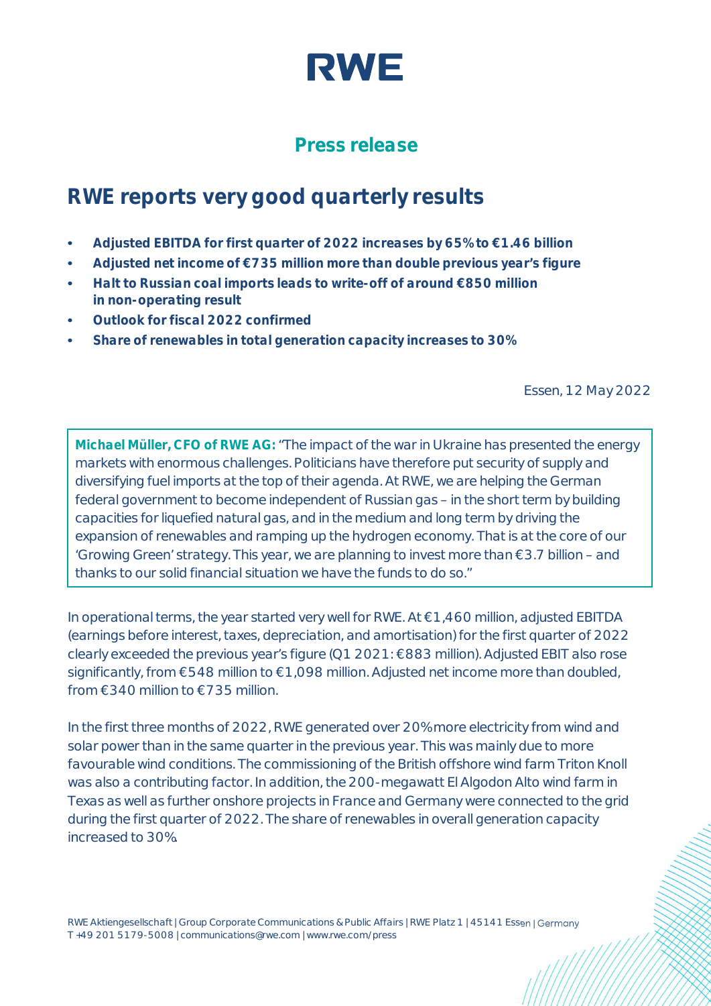

## **Press release**

# **RWE reports very good quarterly results**

- **• Adjusted EBITDA for first quarter of 2022 increases by 65% to €1.46 billion**
- **• Adjusted net income of €735 million more than double previous year's figure**
- **• Halt to Russian coal imports leads to write-off of around €850 million in non-operating result**
- **• Outlook for fiscal 2022 confirmed**
- **• Share of renewables in total generation capacity increases to 30%**

Essen, 12 May 2022

**Michael Müller, CFO of RWE AG:** "The impact of the war in Ukraine has presented the energy markets with enormous challenges. Politicians have therefore put security of supply and diversifying fuel imports at the top of their agenda. At RWE, we are helping the German federal government to become independent of Russian gas – in the short term by building capacities for liquefied natural gas, and in the medium and long term by driving the expansion of renewables and ramping up the hydrogen economy. That is at the core of our 'Growing Green' strategy. This year, we are planning to invest more than €3.7 billion – and thanks to our solid financial situation we have the funds to do so."

In operational terms, the year started very well for RWE. At €1,460 million, adjusted EBITDA (earnings before interest, taxes, depreciation, and amortisation) for the first quarter of 2022 clearly exceeded the previous year's figure (Q1 2021: €883 million). Adjusted EBIT also rose significantly, from €548 million to €1,098 million. Adjusted net income more than doubled, from  $\in$ 340 million to  $\in$ 735 million.

In the first three months of 2022, RWE generated over 20% more electricity from wind and solar power than in the same quarter in the previous year. This was mainly due to more favourable wind conditions. The commissioning of the British offshore wind farm Triton Knoll was also a contributing factor. In addition, the 200-megawatt El Algodon Alto wind farm in Texas as well as further onshore projects in France and Germany were connected to the grid during the first quarter of 2022. The share of renewables in overall generation capacity increased to 30%.

RWE Aktiengesellschaft | Group Corporate Communications & Public Affairs | RWE Platz 1 | 45141 Essen | Germany T +49 201 5179-5008 | communications@rwe.com | www.rwe.com/press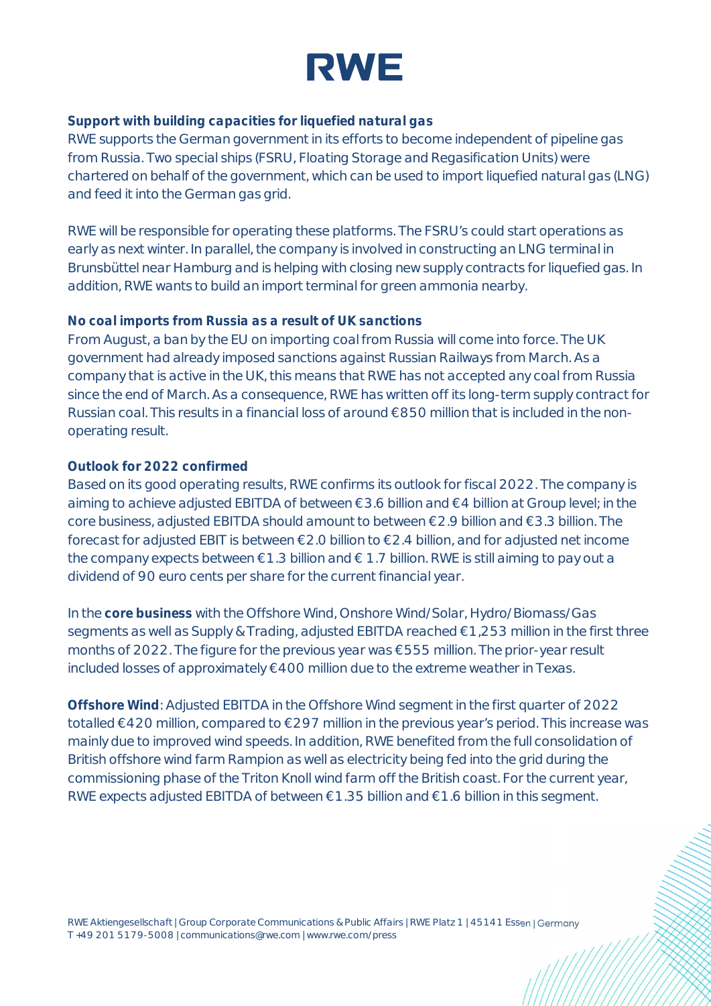

**Support with building capacities for liquefied natural gas**

RWE supports the German government in its efforts to become independent of pipeline gas from Russia. Two special ships (FSRU, Floating Storage and Regasification Units) were chartered on behalf of the government, which can be used to import liquefied natural gas (LNG) and feed it into the German gas grid.

RWE will be responsible for operating these platforms. The FSRU's could start operations as early as next winter. In parallel, the company is involved in constructing an LNG terminal in Brunsbüttel near Hamburg and is helping with closing new supply contracts for liquefied gas. In addition, RWE wants to build an import terminal for green ammonia nearby.

## **No coal imports from Russia as a result of UK sanctions**

From August, a ban by the EU on importing coal from Russia will come into force. The UK government had already imposed sanctions against Russian Railways from March. As a company that is active in the UK, this means that RWE has not accepted any coal from Russia since the end of March. As a consequence, RWE has written off its long-term supply contract for Russian coal. This results in a financial loss of around €850 million that is included in the nonoperating result.

## **Outlook for 2022 confirmed**

Based on its good operating results, RWE confirms its outlook for fiscal 2022. The company is aiming to achieve adjusted EBITDA of between €3.6 billion and €4 billion at Group level; in the core business, adjusted EBITDA should amount to between €2.9 billion and €3.3 billion. The forecast for adjusted EBIT is between €2.0 billion to €2.4 billion, and for adjusted net income the company expects between €1.3 billion and € 1.7 billion. RWE is still aiming to pay out a dividend of 90 euro cents per share for the current financial year.

In the **core business** with the Offshore Wind, Onshore Wind/Solar, Hydro/Biomass/Gas segments as well as Supply & Trading, adjusted EBITDA reached €1,253 million in the first three months of 2022. The figure for the previous year was €555 million. The prior-year result included losses of approximately €400 million due to the extreme weather in Texas.

**Offshore Wind**: Adjusted EBITDA in the Offshore Wind segment in the first quarter of 2022 totalled €420 million, compared to €297 million in the previous year's period. This increase was mainly due to improved wind speeds. In addition, RWE benefited from the full consolidation of British offshore wind farm Rampion as well as electricity being fed into the grid during the commissioning phase of the Triton Knoll wind farm off the British coast. For the current year, RWE expects adjusted EBITDA of between €1.35 billion and €1.6 billion in this segment.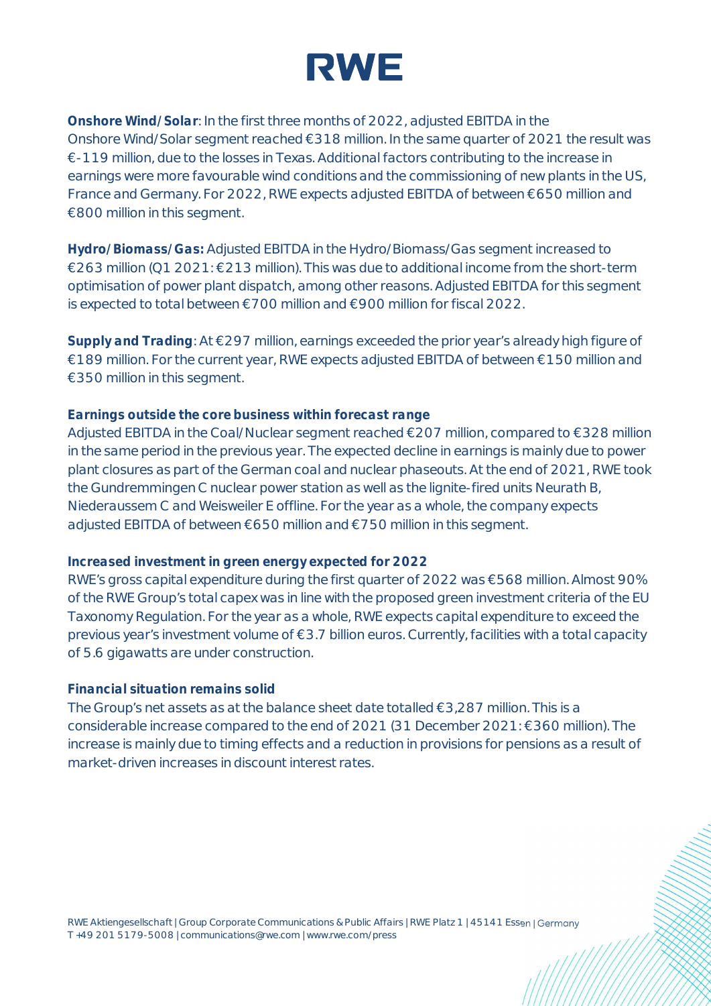

**Onshore Wind/Solar**: In the first three months of 2022, adjusted EBITDA in the Onshore Wind/Solar segment reached €318 million. In the same quarter of 2021 the result was €-119 million, due to the losses in Texas. Additional factors contributing to the increase in earnings were more favourable wind conditions and the commissioning of new plants in the US, France and Germany. For 2022, RWE expects adjusted EBITDA of between €650 million and €800 million in this segment.

**Hydro/Biomass/Gas:** Adjusted EBITDA in the Hydro/Biomass/Gas segment increased to €263 million (Q1 2021: €213 million). This was due to additional income from the short-term optimisation of power plant dispatch, among other reasons. Adjusted EBITDA for this segment is expected to total between €700 million and €900 million for fiscal 2022.

**Supply and Trading**: At €297 million, earnings exceeded the prior year's already high figure of €189 million. For the current year, RWE expects adjusted EBITDA of between €150 million and €350 million in this segment.

## **Earnings outside the core business within forecast range**

Adjusted EBITDA in the Coal/Nuclear segment reached €207 million, compared to €328 million in the same period in the previous year. The expected decline in earnings is mainly due to power plant closures as part of the German coal and nuclear phaseouts. At the end of 2021, RWE took the Gundremmingen C nuclear power station as well as the lignite-fired units Neurath B, Niederaussem C and Weisweiler E offline. For the year as a whole, the company expects adjusted EBITDA of between €650 million and €750 million in this segment.

### **Increased investment in green energy expected for 2022**

RWE's gross capital expenditure during the first quarter of 2022 was €568 million. Almost 90% of the RWE Group's total capex was in line with the proposed green investment criteria of the EU Taxonomy Regulation. For the year as a whole, RWE expects capital expenditure to exceed the previous year's investment volume of €3.7 billion euros. Currently, facilities with a total capacity of 5.6 gigawatts are under construction.

## **Financial situation remains solid**

The Group's net assets as at the balance sheet date totalled  $\epsilon$ 3,287 million. This is a considerable increase compared to the end of 2021 (31 December 2021: €360 million). The increase is mainly due to timing effects and a reduction in provisions for pensions as a result of market-driven increases in discount interest rates.